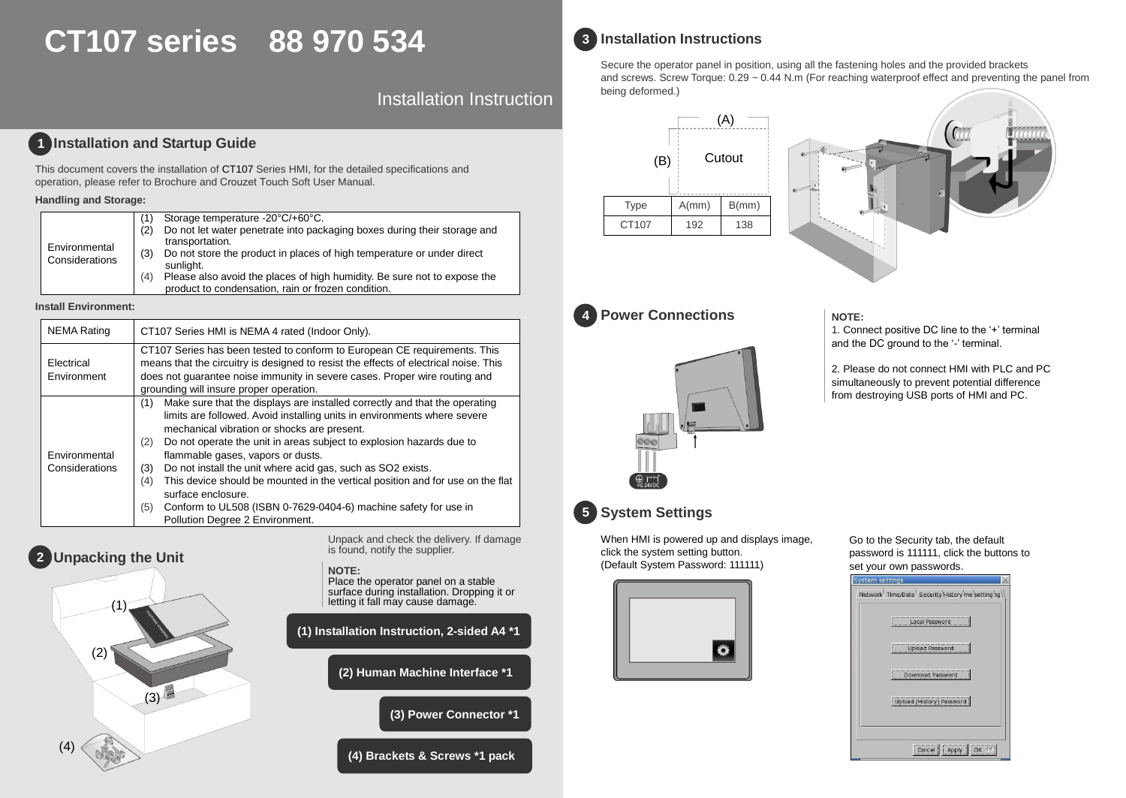# **CT107 series 88 970 534**

Installation Instruction

## **Installation and Startup Guide 1**

This document covers the installation of CT107 Series HMI, for the detailed specifications and operation, please refer to Brochure and Crouzet Touch Soft User Manual.

#### **Handling and Storage:**

|                |     | Storage temperature -20°C/+60°C.                                         |
|----------------|-----|--------------------------------------------------------------------------|
|                | (2) | Do not let water penetrate into packaging boxes during their storage and |
|                |     | transportation.                                                          |
| Environmental  | (3) | Do not store the product in places of high temperature or under direct   |
| Considerations |     | sunlight.                                                                |
|                | (4) | Please also avoid the places of high humidity. Be sure not to expose the |
|                |     | product to condensation, rain or frozen condition.                       |

#### **Install Environment:**

| <b>NEMA Rating</b>              | CT107 Series HMI is NEMA 4 rated (Indoor Only).                                                                                                                                                                                                                                                                                                                                                                                                                                                                                                                                                                                    |  |  |
|---------------------------------|------------------------------------------------------------------------------------------------------------------------------------------------------------------------------------------------------------------------------------------------------------------------------------------------------------------------------------------------------------------------------------------------------------------------------------------------------------------------------------------------------------------------------------------------------------------------------------------------------------------------------------|--|--|
| Electrical<br>Environment       | CT107 Series has been tested to conform to European CE requirements. This<br>means that the circuitry is designed to resist the effects of electrical noise. This<br>does not guarantee noise immunity in severe cases. Proper wire routing and<br>grounding will insure proper operation.                                                                                                                                                                                                                                                                                                                                         |  |  |
| Environmental<br>Considerations | Make sure that the displays are installed correctly and that the operating<br>(1)<br>limits are followed. Avoid installing units in environments where severe<br>mechanical vibration or shocks are present.<br>Do not operate the unit in areas subject to explosion hazards due to<br>(2)<br>flammable gases, vapors or dusts.<br>Do not install the unit where acid gas, such as SO2 exists.<br>(3)<br>This device should be mounted in the vertical position and for use on the flat<br>(4)<br>surface enclosure.<br>Conform to UL508 (ISBN 0-7629-0404-6) machine safety for use in<br>(5)<br>Pollution Degree 2 Environment. |  |  |



Unpack and check the delivery. If damage is found, notify the supplier.

**NOTE:**  Place the operator panel on a stable surface during installation. Dropping it or letting it fall may cause damage. **(1) Installation Instruction, 2-sided A4 \*1**

**(2) Human Machine Interface \*1**

**(3) Power Connector \*1**

**(4) Brackets & Screws \*1 pack**



### **Installation Instructions 3**

Secure the operator panel in position, using all the fastening holes and the provided brackets and screws. Screw Torque:  $0.29 \sim 0.44$  N.m (For reaching waterproof effect and preventing the panel from being deformed.)





### **4 Power Connections** NOTE:



1. Connect positive DC line to the '+' terminal and the DC ground to the '-' terminal.

2. Please do not connect HMI with PLC and PC simultaneously to prevent potential difference from destroying USB ports of HMI and PC.

# **System Settings 5**

When HMI is powered up and displays image, click the system setting button. (Default System Password: 111111)



#### Go to the Security tab, the default password is 111111, click the buttons to set your own passwords.